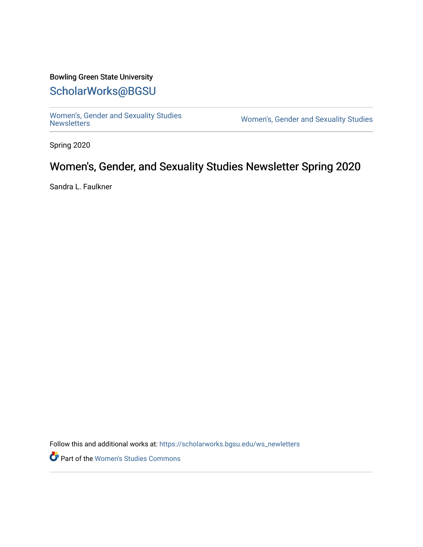### Bowling Green State University

# [ScholarWorks@BGSU](https://scholarworks.bgsu.edu/)

[Women's, Gender and Sexuality Studies](https://scholarworks.bgsu.edu/ws_newletters)<br>Newsletters

Women's, Gender and Sexuality Studies

Spring 2020

# Women's, Gender, and Sexuality Studies Newsletter Spring 2020

Sandra L. Faulkner

Follow this and additional works at: [https://scholarworks.bgsu.edu/ws\\_newletters](https://scholarworks.bgsu.edu/ws_newletters?utm_source=scholarworks.bgsu.edu%2Fws_newletters%2F17&utm_medium=PDF&utm_campaign=PDFCoverPages)

Part of the [Women's Studies Commons](http://network.bepress.com/hgg/discipline/561?utm_source=scholarworks.bgsu.edu%2Fws_newletters%2F17&utm_medium=PDF&utm_campaign=PDFCoverPages)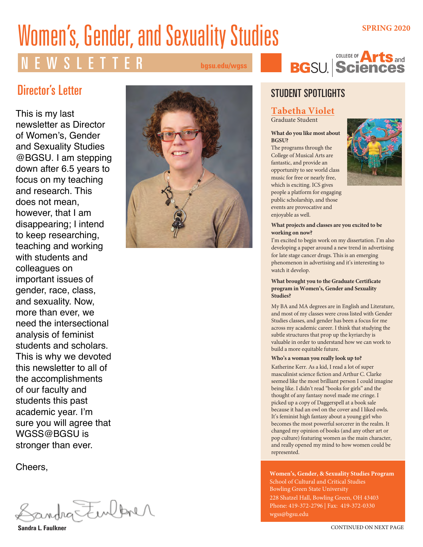# **Women's, Gender, and Sexuality Studies** *SPRING 2020*

**bgsu.edu/wgss**



COLLEGE OF **A** 

# Director's Letter

This is my last newsletter as Director of Women's, Gender and Sexuality Studies @BGSU. I am stepping down after 6.5 years to focus on my teaching and research. This does not mean, however, that I am disappearing; I intend to keep researching, teaching and working with students and colleagues on important issues of gender, race, class, and sexuality. Now, more than ever, we need the intersectional analysis of feminist students and scholars. This is why we devoted this newsletter to all of the accomplishments of our faculty and students this past academic year. I'm sure you will agree that WGSS@BGSU is stronger than ever.

Cheers,

ha Finlbrer

**Sandra L. Faulkner**



# STUDENT SPOTLIGHTS

### **Tabetha Violet**

Graduate Student

### **What do you like most about BGSU?**

The programs through the College of Musical Arts are fantastic, and provide an opportunity to see world class music for free or nearly free, which is exciting. ICS gives people a platform for engaging public scholarship, and those events are provocative and enjoyable as well.



### **What projects and classes are you excited to be working on now?**

I'm excited to begin work on my dissertation. I'm also developing a paper around a new trend in advertising for late stage cancer drugs. This is an emerging phenomenon in advertising and it's interesting to watch it develop.

### **What brought you to the Graduate Certificate program in Women's, Gender and Sexuality Studies?**

My BA and MA degrees are in English and Literature, and most of my classes were cross listed with Gender Studies classes, and gender has been a focus for me across my academic career. I think that studying the subtle structures that prop up the kyriarchy is valuable in order to understand how we can work to build a more equitable future.

### **Who's a woman you really look up to?**

Katherine Kerr. As a kid, I read a lot of super masculinist science fiction and Arthur C. Clarke seemed like the most brilliant person I could imagine being like. I didn't read "books for girls" and the thought of any fantasy novel made me cringe. I picked up a copy of Daggerspell at a book sale because it had an owl on the cover and I liked owls. It's feminist high fantasy about a young girl who becomes the most powerful sorcerer in the realm. It changed my opinion of books (and any other art or pop culture) featuring women as the main character, and really opened my mind to how women could be represented.

**Women's, Gender, & Sexuality Studies Program** School of Cultural and Critical Studies Bowling Green State University 228 Shatzel Hall, Bowling Green, OH 43403 Phone: 419-372-2796 | Fax: 419-372-0330 wgss@bgsu.edu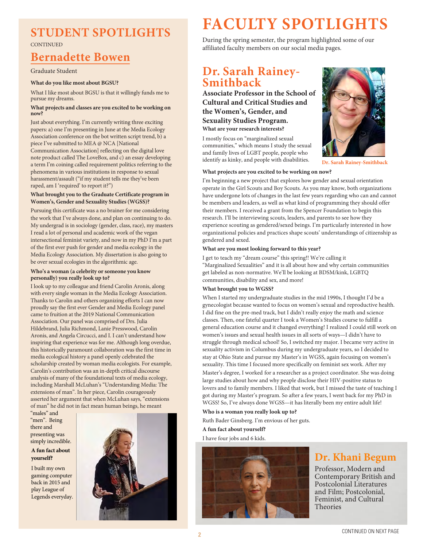### **STUDENT SPOTLIGHTS CONTINUED**

# **Bernadette Bowen**

### Graduate Student

### **What do you like most about BGSU?**

What I like most about BGSU is that it willingly funds me to pursue my dreams.

### **What projects and classes are you excited to be working on now?**

Just about everything. I'm currently writing three exciting papers: a) one I'm presenting in June at the Media Ecology Association conference on the bot written script trend, b) a piece I've submitted to MEA @ NCA [National Communication Association] reflecting on the digital love note product called The LoveBox, and c) an essay developing a term I'm coining called requirement politics referring to the phenomena in various institutions in response to sexual harassment/assault ("if my student tells me they've been raped, am I 'required' to report it?")

### **What brought you to the Graduate Certificate program in Women's, Gender and Sexuality Studies (WGSS)?**

Pursuing this certificate was a no brainer for me considering the work that I've always done, and plan on continuing to do. My undergrad is in sociology (gender, class, race), my masters I read a lot of personal and academic work of the vegan intersectional feminist variety, and now in my PhD I'm a part of the first ever push for gender and media ecology in the Media Ecology Association. My dissertation is also going to be over sexual ecologies in the algorithmic age.

### **Who's a woman (a celebrity or someone you know personally) you really look up to?**

I look up to my colleague and friend Carolin Aronis, along with every single woman in the Media Ecology Association. Thanks to Carolin and others organizing efforts I can now proudly say the first ever Gender and Media Ecology panel came to fruition at the 2019 National Communication Association. Our panel was comprised of Drs. Julia Hildebrand, Julia Richmond, Lanie Presswood, Carolin Aronis, and Angela Circucci, and I. I can't understand how inspiring that experience was for me. Although long overdue, this historically paramount collaboration was the first time in media ecological history a panel openly celebrated the scholarship created by woman media ecologists. For example, Carolin's contribution was an in-depth critical discourse analysis of many of the foundational texts of media ecology, including Marshall McLuhan's "Understanding Media: The extensions of man". In her piece, Carolin courageously asserted her argument that when McLuhan says, "extensions of man" he did not in fact mean human beings, he meant

"males" and "men". Being there and presenting was simply incredible.

### **A fun fact about yourself?**

I built my own gaming computer back in 2015 and play League of Legends everyday.



# **FACULTY SPOTLIGHTS**

During the spring semester, the program highlighted some of our affiliated faculty members on our social media pages.

### **Dr. Sarah Rainey-Smithback**

**Associate Professor in the School of Cultural and Critical Studies and the Women's, Gender, and Sexuality Studies Program. What are your research interests?**

I mostly focus on "marginalized sexual communities," which means I study the sexual and family lives of LGBT people, people who identify as kinky, and people with disabilities.



**Dr. Sarah Rainey-Smithback**

### **What projects are you excited to be working on now?**

I'm beginning a new project that explores how gender and sexual orientation operate in the Girl Scouts and Boy Scouts. As you may know, both organizations have undergone lots of changes in the last few years regarding who can and cannot be members and leaders, as well as what kind of programming they should offer their members. I received a grant from the Spencer Foundation to begin this research. I'll be interviewing scouts, leaders, and parents to see how they experience scouting as gendered/sexed beings. I'm particularly interested in how organizational policies and practices shape scouts' understandings of citizenship as gendered and sexed.

### **What are you most looking forward to this year?**

I get to teach my "dream course" this spring!! We're calling it "Marginalized Sexualities" and it is all about how and why certain communities get labeled as non-normative. We'll be looking at BDSM/kink, LGBTQ communities, disability and sex, and more!

### **What brought you to WGSS?**

When I started my undergraduate studies in the mid 1990s, I thought I'd be a gynecologist because wanted to focus on women's sexual and reproductive health. I did fine on the pre-med track, but I didn't really enjoy the math and science classes. Then, one fateful quarter I took a Women's Studies course to fulfill a general education course and it changed everything! I realized I could still work on women's issues and sexual health issues in all sorts of ways—I didn't have to struggle through medical school! So, I switched my major. I became very active in sexuality activism in Columbus during my undergraduate years, so I decided to stay at Ohio State and pursue my Master's in WGSS, again focusing on women's sexuality. This time I focused more specifically on feminist sex work. After my Master's degree, I worked for a researcher as a project coordinator. She was doing large studies about how and why people disclose their HIV-positive status to lovers and to family members. I liked that work, but I missed the taste of teaching I got during my Master's program. So after a few years, I went back for my PhD in WGSS! So, I've always done WGSS—it has literally been my entire adult life!

**Who is a woman you really look up to?**

Ruth Bader Ginsberg. I'm envious of her guts.

### **A fun fact about yourself?**

I have four jobs and 6 kids.



# **Dr. Khani Begum**

Professor, Modern and Contemporary British and Postcolonial Literatures and Film; Postcolonial, Feminist, and Cultural Theories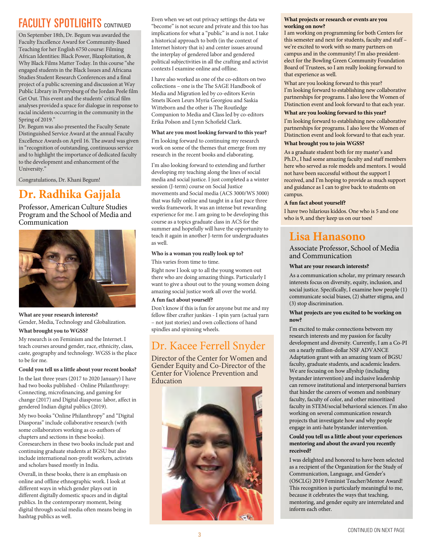# **FACULTY SPOTLIGHTS** CONTINUED

On September 18th, Dr. Begum was awarded the Faculty Excellence Award for Community-Based Teaching for her English 6750 course: Filming African Identities: Black Power, Blaxploitation, & Why Black Films Matter Today. In this course "she engaged students in the Black Issues and Africana Studies Student Research Conferences and a final project of a public screening and discussion at Way Public Library in Perrysburg of the Jordan Peele film Get Out. This event and the students' critical film analyses provided a space for dialogue in response to racial incidents occurring in the community in the Spring of 2019."

Dr. Begum was also presented the Faculty Senate Distinguished Service Award at the annual Faculty Excellence Awards on April 16. The award was given in "recognition of outstanding, continuous service and to highlight the importance of dedicated faculty to the development and enhancement of the University."

Congratulations, Dr. Khani Begum!

# **Dr. Radhika Gajjala**

Professor, American Culture Studies Program and the School of Media and Communication



### **What are your research interests?** Gender, Media, Technology and Globalization.

### **What brought you to WGSS?**

My research is on Feminism and the Internet. I teach courses around gender, race, ethnicity, class, caste, geography and technology. WGSS is the place to be for me.

### **Could you tell us a little about your recent books?**

In the last three years (2017 to 2020 January) I have had two books published - Online Philanthropy: Connecting, microfinancing, and gaming for change (2017) and Digital diasporas: labor, affect in gendered Indian digital publics (2019).

My two books "Online Philanthropy" and "Digital Diasporas" include collaborative research (with some collaborators working as co-authors of chapters and sections in these books). Coresearchers in these two books include past and continuing graduate students at BGSU but also include international non-profit workers, activists and scholars based mostly in India.

Overall, in these books, there is an emphasis on online and offline ethnographic work. I look at different ways in which gender plays out in different digitally domestic spaces and in digital publics. In the contemporary moment, being digital through social media often means being in hashtag publics as well.

Even when we set out privacy settings the data we "become" is not secure and private and this too has implications for what a "public" is and is not. I take a historical approach to both (in the context of Internet history that is) and center issues around the interplay of gendered labor and gendered political subjectivities in all the crafting and activist contexts I examine online and offline.

I have also worked as one of the co-editors on two collections – one is the The SAGE Handbook of Media and Migration led by co-editors Kevin Smets lKoen Leurs Myria Georgiou and Saskia Witteborn and the other is The Routledge Companion to Media and Class led by co-editors Erika Polson and Lynn Schofield Clark.

### **What are you most looking forward to this year?**

I'm looking forward to continuing my research work on some of the themes that emerge from my research in the recent books and elaborating.

I'm also looking forward to extending and further developing my teaching along the lines of social media and social justice. I just completed a a winter session (J-term) course on Social Justice movements and Social media (ACS 3000/WS 3000) that was fully online and taught in a fast pace three weeks framework. It was an intense but rewarding experience for me. I am going to be developing this course as a topics graduate class in ACS for the summer and hopefully will have the opportunity to teach it again in another J-term for undergraduates as well.

### **Who is a woman you really look up to?**

This varies from time to time.

Right now I look up to all the young women out there who are doing amazing things. Particularly I want to give a shout out to the young women doing amazing social justice work all over the world.

### **A fun fact about yourself?**

Don't know if this is fun for anyone but me and my fellow fiber crafter junkies - I spin yarn (actual yarn – not just stories) and own collections of hand spindles and spinning wheels.

# Dr. Kacee Ferrell Snyder

Director of the Center for Women and Gender Equity and Co-Director of the Center for Violence Prevention and Education



### **What projects or research or events are you working on now?**

I am working on programming for both Centers for this semester and next for students, faculty and staff – we're excited to work with so many partners on campus and in the community! I'm also presidentelect for the Bowling Green Community Foundation Board of Trustees, so I am really looking forward to that experience as well.

What are you looking forward to this year? I'm looking forward to establishing new collaborative partnerships for programs. I also love the Women of Distinction event and look forward to that each year.

### **What are you looking forward to this year?**

I'm looking forward to establishing new collaborative partnerships for programs. I also love the Women of Distinction event and look forward to that each year.

### **What brought you to join WGSS?**

As a graduate student both for my master's and Ph.D., I had some amazing faculty and staff members here who served as role models and mentors. I would not have been successful without the support I received, and I'm hoping to provide as much support and guidance as I can to give back to students on campus.

### **A fun fact about yourself?**

I have two hilarious kiddos. One who is 5 and one who is 9, and they keep us on our toes!

# **Lisa Hanasono**

Associate Professor, School of Media and Communication

### **What are your research interests?**

As a communication scholar, my primary research interests focus on diversity, equity, inclusion, and social justice. Specifically, I examine how people (1) communicate social biases, (2) shatter stigma, and (3) stop discrimination.

### **What projects are you excited to be working on now?**

I'm excited to make connections between my research interests and my passion for faculty development and diversity. Currently, I am a Co-PI on a nearly million-dollar NSF ADVANCE Adaptation grant with an amazing team of BGSU faculty, graduate students, and academic leaders. We are focusing on how allyship (including bystander intervention) and inclusive leadership can remove institutional and interpersonal barriers that hinder the careers of women and nonbinary faculty, faculty of color, and other minoritized faculty in STEM/social behavioral sciences. I'm also working on several communication research projects that investigate how and why people engage in anti-hate bystander intervention.

### **Could you tell us a little about your experiences mentoring and about the award you recently received?**

I was delighted and honored to have been selected as a recipient of the Organization for the Study of Communication, Language, and Gender's (OSCLG) 2019 Feminist Teacher/Mentor Award! This recognition is particularly meaningful to me, because it celebrates the ways that teaching, mentoring, and gender equity are interrelated and inform each other.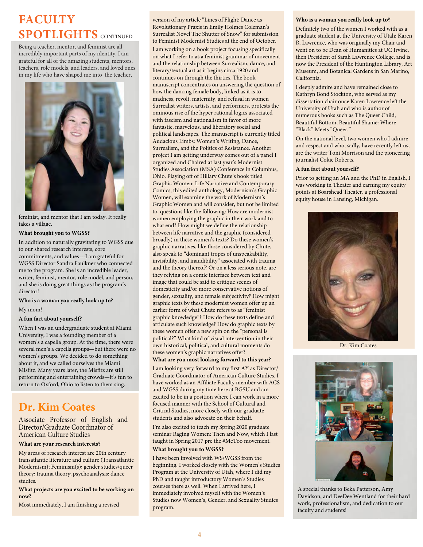# **FACULTY SPOTLIGHTS** CONTINUED

Being a teacher, mentor, and feminist are all incredibly important parts of my identity. I am grateful for all of the amazing students, mentors, teachers, role models, and leaders, and loved ones in my life who have shaped me into the teacher,



feminist, and mentor that I am today. It really takes a village.

#### **What brought you to WGSS?**

In addition to naturally gravitating to WGSS due to our shared research interests, core commitments, and values---I am grateful for WGSS Director Sandra Faulkner who connected me to the program. She is an incredible leader, writer, feminist, mentor, role model, and person, and she is doing great things as the program's director!

### **Who is a woman you really look up to?**

#### My mom!

### **A fun fact about yourself?**

When I was an undergraduate student at Miami University, I was a founding member of a women's a capella group. At the time, there were several men's a capella groups—but there were no women's groups. We decided to do something about it, and we called ourselves the Miami Misfitz. Many years later, the Misfitz are still performing and entertaining crowds—it's fun to return to Oxford, Ohio to listen to them sing.

# **Dr. Kim Coates**

Associate Professor of English and Director/Graduate Coordinator of American Culture Studies

### **What are your research interests?**

My areas of research interest are 20th century transatlantic literature and culture (Transatlantic Modernism); Feminism(s); gender studies/queer theory; trauma theory; psychoanalysis; dance studies.

### **What projects are you excited to be working on now?**

Most immediately, I am finishing a revised

version of my article "Lines of Flight: Dance as Revolutionary Praxis in Emily Holmes Coleman's Surrealist Novel The Shutter of Snow" for submission to Feminist Modernist Studies at the end of October. I am working on a book project focusing specifically on what I refer to as a feminist grammar of movement and the relationship between Surrealism, dance, and literary/textual art as it begins circa 1920 and continues on through the thirties. The book manuscript concentrates on answering the question of how the dancing female body, linked as it is to madness, revolt, maternity, and refusal in women Surrealist writers, artists, and performers, protests the ominous rise of the hyper rational logics associated with fascism and nationalism in favor of more fantastic, marvelous, and liberatory social and political landscapes. The manuscript is currently titled Audacious Limbs: Women's Writing, Dance, Surrealism, and the Politics of Resistance. Another project I am getting underway comes out of a panel I organized and Chaired at last year's Modernist Studies Association (MSA) Conference in Columbus, Ohio. Playing off of Hillary Chute's book titled Graphic Women: Life Narrative and Contemporary Comics, this edited anthology, Modernism's Graphic Women, will examine the work of Modernism's Graphic Women and will consider, but not be limited to, questions like the following: How are modernist women employing the graphic in their work and to what end? How might we define the relationship between life narrative and the graphic (considered broadly) in these women's texts? Do these women's graphic narratives, like those considered by Chute, also speak to "dominant tropes of unspeakability, invisibility, and inaudibility" associated with trauma and the theory thereof? Or on a less serious note, are they relying on a comic interface between text and image that could be said to critique scenes of domesticity and/or more conservative notions of gender, sexuality, and female subjectivity? How might graphic texts by these modernist women offer up an earlier form of what Chute refers to as "feminist graphic knowledge"? How do these texts define and articulate such knowledge? How do graphic texts by these women offer a new spin on the "personal is political?" What kind of visual intervention in their own historical, political, and cultural moments do these women's graphic narratives offer?

### **What are you most looking forward to this year?**

I am looking very forward to my first AY as Director/ Graduate Coordinator of American Culture Studies. I have worked as an Affiliate Faculty member with ACS and WGSS during my time here at BGSU and am excited to be in a position where I can work in a more focused manner with the School of Cultural and Critical Studies, more closely with our graduate students and also advocate on their behalf.

I'm also excited to teach my Spring 2020 graduate seminar Raging Women: Then and Now, which I last taught in Spring 2017 pre the #MeToo movement.

### **What brought you to WGSS?**

I have been involved with WS/WGSS from the beginning. I worked closely with the Women's Studies Program at the University of Utah, where I did my PhD and taught introductory Women's Studies courses there as well. When I arrived here, I immediately involved myself with the Women's Studies now Women's, Gender, and Sexuality Studies program.

### **Who is a woman you really look up to?**

Definitely two of the women I worked with as a graduate student at the University of Utah: Karen R. Lawrence, who was originally my Chair and went on to be Dean of Humanities at UC Irvine, then President of Sarah Lawrence College, and is now the President of the Huntington Library, Art Museum, and Botanical Gardens in San Marino, California.

I deeply admire and have remained close to Kathryn Bond Stockton, who served as my dissertation chair once Karen Lawrence left the University of Utah and who is author of numerous books such as The Queer Child, Beautiful Bottom, Beautiful Shame: Where "Black" Meets "Queer."

On the national level, two women who I admire and respect and who, sadly, have recently left us, are the writer Toni Morrison and the pioneering journalist Cokie Roberts.

### **A fun fact about yourself?**

Prior to getting an MA and the PhD in English, I was working in Theater and earning my equity points at Boarshead Theater, a professional equity house in Lansing, Michigan.



Dr. Kim Coates



A special thanks to Beka Patterson, Amy Davidson, and DeeDee Wentland for their hard work, professionalism, and dedication to our faculty and students!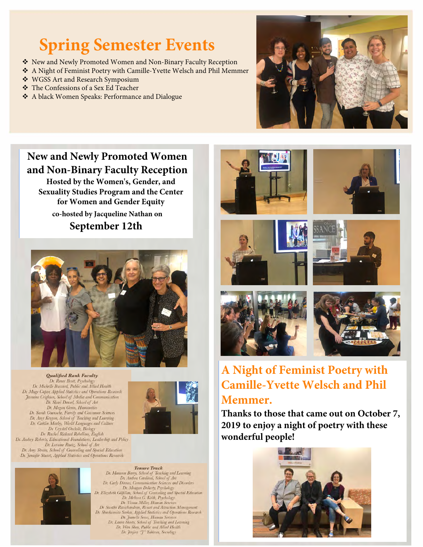# **Spring Semester Events**

- New and Newly Promoted Women and Non-Binary Faculty Reception
- A Night of Feminist Poetry with Camille-Yvette Welsch and Phil Memmer
- WGSS Art and Research Symposium
- The Confessions of a Sex Ed Teacher
- A black Women Speaks: Performance and Dialogue



# **New and Newly Promoted Women and Non-Binary Faculty Reception**

 **Hosted by the Women's, Gender, and Sexuality Studies Program and the Center for Women and Gender Equity co-hosted by Jacqueline Nathan on September 12th**



Qualified Rank Faculty Dr. Renee Brott, Psycholog Dr. Michelle Bussard, Public and Allied Health Dr. Muge Capar, Applied Statistics and Operations Research Jasmine Crighton, School of Media and Communication Dr. Shari Densel, School of Art Dr. Megan Green, Humanities Dr. Megan Green, Humanites<br>Dr. Sarah Guensche, Family and Consumer Sciences<br>Dr. Amy Kenyon, School of Teaching and Learning Dr. Caitlin Marley, World Languages and Culture Dr. Crystal Oechsle, Biology Dr. Rachel Rickard Rebellino, English Dr. Audrey Roberts, Educational Foundations, Leadership and Policy Dr. Loraine Ruetz, School of Art Dr. Amy Strata, School of Counseling and Special Education Dr. Jennifer Stuart, Applied Statistics and Operations Research



# Dr. Maureen Barry, School of Teaching and Learning<br>Dr. Andrea Cardinal, School of Art Dr. Carly Dinnes, Communication Sciences and Disorders Dr. Meagan Dolerty, Psychology<br>Dr. Elizabeth Gilfillan, School of Counseling and Special Education<br>Dr. Melissa G. Keith, Psychology

**Tenure Track** 

Dr. Vivian Miller, Human Services<br>Dr. Swathi Ravichandran, Resort and Attraction Management<br>Dr. Shuchismita Sarkar, Applied Statistics and Operations Research Dr. Jeanelle Sears, Human Services<br>Dr. Laura Sheets, School of Teaching and Learning<br>Dr. Wan Shen, Public and Allied Health Dr. Jenjira "J" Yahirun, Sociology













# **A Night of Feminist Poetry with Camille-Yvette Welsch and Phil Memmer.**

**Thanks to those that came out on October 7, 2019 to enjoy a night of poetry with these wonderful people!**

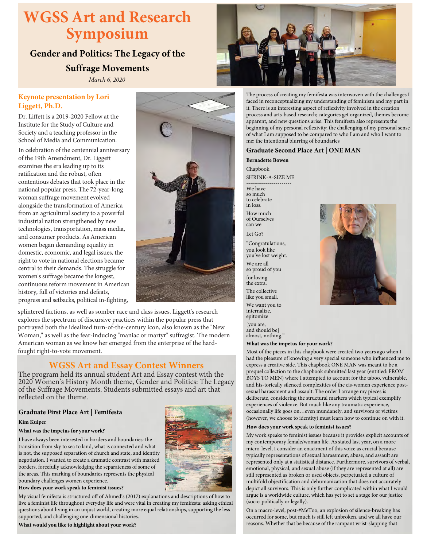# **WGSS Art and Research Symposium**

# **Gender and Politics: The Legacy of the**

### **Suffrage Movements**

*March 6, 2020*

### **Keynote presentation by Lori Liggett, Ph.D.**

Dr. Liffett is a 2019-2020 Fellow at the Institute for the Study of Culture and Society and a teaching professor in the School of Media and Communication.

In celebration of the centennial anniversary of the 19th Amendment, Dr. Liggett examines the era leading up to its ratification and the robust, often contentious debates that took place in the national popular press. The 72-year-long woman suffrage movement evolved alongside the transformation of America from an agricultural society to a powerful industrial nation strengthened by new technologies, transportation, mass media, and consumer products. As American women began demanding equality in domestic, economic, and legal issues, the right to vote in national elections became central to their demands. The struggle for women's suffrage became the longest, continuous reform movement in American history, full of victories and defeats, progress and setbacks, political in-fighting,



splintered factions, as well as somber race and class issues. Liggett's research explores the spectrum of discursive practices within the popular press that portrayed both the idealized turn-of-the-century icon, also known as the "New Woman," as well as the fear-inducing "maniac or martyr" suffragist. The modern American woman as we know her emerged from the enterprise of the hardfought right-to-vote movement.

### **WGSS Art and Essay Contest Winners**

The program held its annual student Art and Essay contest with the 2020 Women's History Month theme, Gender and Politics: The Legacy of the Suffrage Movements. Students submitted essays and art that reflected on the theme.

### **Graduate First Place Art | Femifesta**

### **Kim Kuiper**

### **What was the impetus for your work?**

I have always been interested in borders and boundaries: the transition from sky to sea to land, what is connected and what is not, the supposed separation of church and state, and identity negotiation. I wanted to create a dramatic contrast with marked borders, forcefully acknowledging the separateness of some of the areas. This marking of boundaries represents the physical boundary challenges women experience.



### **How does your work speak to feminist issues?**

My visual femifesta is structured off of Ahmed's (2017) explanations and descriptions of how to live a feminist life throughout everyday life and were vital in creating my femifesta: asking ethical questions about living in an unjust world, creating more equal relationships, supporting the less supported, and challenging one-dimensional histories.

**What would you like to highlight about your work?**



The process of creating my femifesta was interwoven with the challenges I faced in reconceptualizing my understanding of feminism and my part in it. There is an interesting aspect of reflexivity involved in the creation process and arts-based research; categories get organized, themes become apparent, and new questions arise. This femifesta also represents the beginning of my personal reflexivity; the challenging of my personal sense of what I am supposed to be compared to who I am and who I want to me; the intentional blurring of boundaries

### **Graduate Second Place Art | ONE MAN**

**Bernadette Bowen**

Chapbook SHRINK-A-SIZE ME

----------------------- We have so much to celebrate

in loss. How much of Ourselves can we

Let Go?

"Congratulations, you look like you've lost weight.

We are all so proud of you

for losing the extra.

The collective like you small.

We want you to internalize, epitomize [you are,

and should be] almost, nothing."

### **What was the impetus for your work?**

Most of the pieces in this chapbook were created two years ago when I had the pleasure of knowing a very special someone who influenced me to express a creative side. This chapbook ONE MAN was meant to be a prequel collection to the chapbook submitted last year (entitled: FROM BOYS TO MEN) where I attempted to account for the taboo, vulnerable, and his-torically silenced complexities of the cis-women experience postsexual harassment and assault. The order I arrange my pieces is deliberate, considering the structural markers which typical exemplify experiences of violence. But much like any traumatic experience, occasionally life goes on…even mundanely, and survivors or victims (however, we choose to identity) must learn how to continue on with it.

### **How does your work speak to feminist issues?**

My work speaks to feminist issues because it provides explicit accounts of my contemporary female/woman life. As stated last year, on a more micro-level, I consider an enactment of this voice as crucial because typically representations of sexual harassment, abuse, and assault are represented only at a statistical distance. Furthermore, survivors of verbal, emotional, physical, and sexual abuse (if they are represented at all) are still represented as broken or used objects, perpetuated a culture of multifold objectification and dehumanization that does not accurately depict all survivors. This is only further complicated within what I would argue is a worldwide culture, which has yet to set a stage for our justice (socio-politically or legally).

On a macro-level, post-#MeToo, an explosion of silence-breaking has occurred for some, but much is still left unbroken, and we all have our reasons. Whether that be because of the rampant wrist-slapping that

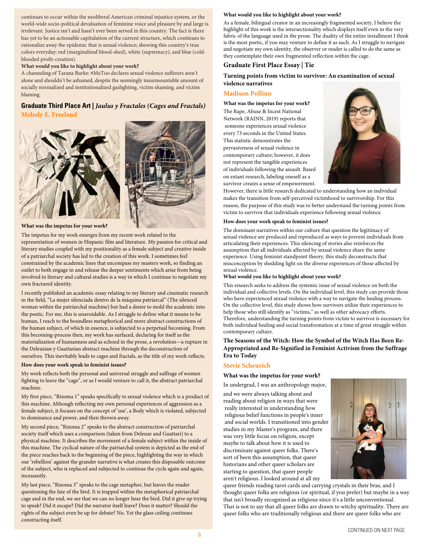continues to occur within the neoliberal American criminal injustice system, or the world-wide socio-political devaluation of feminine voice and pleasure by and large is irrelevant. Justice isn't and hasn't ever been served in this country. The fact is there has yet to be an actionable capitulation of the current structure, which continues to rationalize away the epidemic that is sexual violence; showing this country's true colors everyday: red (marginalized blood-shed), white (supremacy), and blue (coldblooded profit-creation).

#### **What would you like to highlight about your work?**

A channeling of Tarana Burke: #MeToo declares sexual violence sufferers aren't alone and shouldn't be ashamed, despite the seemingly insurmountable amount of socially normalized and institutionalized gaslighting, victim shaming, and victim blaming.

### **Graduate Third Place Art |** *Jaulus y Fractales (Cages and Fractals)* **Melody E. Freeland**





#### **What was the impetus for your work?**

The impetus for my work emerges from my recent work related to the representation of women in Hispanic film and literature. My passion for critical and literary studies coupled with my positionality as a female subject and creative inside of a patriarchal society has led to the creation of this work. I sometimes feel constrained by the academic lines that encompass my masters work, so finding an outlet to both engage in and release the deeper sentiments which arise from being involved in literary and cultural studies is a way in which I continue to negotiate my own fractured identity.

I recently published an academic essay relating to my literary and cinematic research in the field, "La mujer silenciada dentro de la máquina patriarcal" (The silenced woman within the patriarchal machine) but had a desire to mold the academic into the poetic. For me, this is unavoidable. As I struggle to define what it means to be human, I reach to the boundless metaphorical and more abstract constructions of the human subject, of which in essence, is subjected to a perpetual becoming. From this becoming-process then, my work has surfaced, declaring for itself as the materialization of humanness and as echoed in the prose, a revolution—a rupture in the Deleuzian y Guattarian abstract machine through the deconstruction of ourselves. This inevitably leads to cages and fractals, as the title of my work reflects.

### **How does your work speak to feminist issues?**

My work reflects both the personal and universal struggle and suffrage of women fighting to leave the "cage", or as I would venture to call it, the abstract patriarchal machine.

My first piece, "Rizoma 1" speaks specifically to sexual violence which is a product of this machine. Although reflecting my own personal experiences of aggression as a female subject, it focuses on the concept of 'use', a Body which is violated, subjected to dominance and power, and then thrown away.

My second piece, "Rizoma 2" speaks to the abstract construction of patriarchal society itself which uses a comparison (taken from Deleuze and Guattari) to a physical machine. It describes the movement of a female subject within the inside of this machine. The cyclical nature of the patriarchal system is depicted as the end of the piece reaches back to the beginning of the piece, highlighting the way in which our 'rebellion' against the grander narrative is what creates this disposable outcome of the subject, who is replaced and subjected to continue the cycle again and again, incessantly.

My last piece, "Rizoma 3" speaks to the cage metaphor, but leaves the reader questioning the fate of the bird. It is trapped within the metaphorical patriarchal cage and in the end, we see that we can no longer hear the bird. Did it give up trying to speak? Did it escape? Did the narrator itself leave? Does it matter? Should the rights of the subject even be up for debate? No. Yet the glass ceiling continues constructing itself.

#### **What would you like to highlight about your work?**

As a female, bilingual creator in an increasingly fragmented society, I believe the highlight of this work is the intersectionality which displays itself even in the very fabric of the language used in the prose. The duality of the entire installment I think is the most poetic, if you may venture to define it as such. As I struggle to navigate and negotiate my own identity, the observer or reader is called to do the same as they contemplate their own fragmented reflection within the cage.

### **Graduate First Place Essay | Tie**

**Turning points from victim to survivor: An examination of sexual violence narratives**

### **Madison Pollino**

**What was the impetus for your work?** The Rape, Abuse & Incest National Network (RAINN, 2019) reports that someone experiences sexual violence every 73 seconds in the United States. This statistic demonstrates the pervasiveness of sexual violence in contemporary culture; however, it does not represent the tangible experiences of individuals following the assault. Based on extant research, labeling oneself as a survivor creates a sense of empowerment.



However, there is little research dedicated to understanding how an individual makes the transition from self-perceived victimhood to survivorship. For this reason, the purpose of this study was to better understand the turning points from victim to survivor that individuals experience following sexual violence.

#### **How does your work speak to feminist issues?**

The dominant narratives within our culture that question the legitimacy of sexual violence are produced and reproduced as ways to prevent individuals from articulating their experiences. This silencing of stories also reinforces the assumption that all individuals affected by sexual violence share the same experience. Using feminist standpoint theory, this study deconstructs that misconception by shedding light on the diverse experiences of those affected by sexual violence.

#### **What would you like to highlight about your work?**

This research seeks to address the systemic issue of sexual violence on both the individual and collective levels. On the individual level, this study can provide those who have experienced sexual violence with a way to navigate the healing process. On the collective level, this study shows how survivors utilize their experiences to help those who still identify as "victims," as well as other advocacy efforts. Therefore, understanding the turning points from victim to survivor is necessary for both individual healing and social transformation at a time of great struggle within contemporary culture.

### **The Seasons of the Witch: How the Symbol of the Witch Has Been Re-Appropriated and Re-Signified in Feminist Activism from the Suffrage Era to Today**

### **Stevie Scheurich**

#### **What was the impetus for your work?**

In undergrad, I was an anthropology major, and we were always talking about and

reading about religion in ways that were really interested in understanding how religious belief functions in people's inner and social worlds. I transitioned into gender studies in my Master's program, and there was very little focus on religion, except maybe to talk about how it is used to discriminate against queer folks. There's sort of been this assumption, that queer historians and other queer scholars are starting to question, that queer people aren't religious. I looked around at all my



queer friends reading tarot cards and carrying crystals in their bras, and I thought queer folks are religious (or spiritual, if you prefer) but maybe in a way that isn't broadly recognized as religious since it's a little unconventional. That is not to say that all queer folks are drawn to witchy spirituality. There are queer folks who are traditionally religious and there are queer folks who are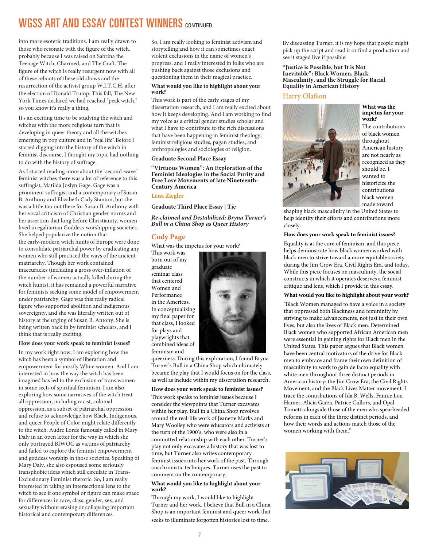# WGSS ART AND ESSAY CONTEST WINNERS CONTINUED

into more esoteric traditions. I am really drawn to those who resonate with the figure of the witch, probably because I was raised on Sabrina the Teenage Witch, Charmed, and The Craft. The figure of the witch is really resurgent now with all of these reboots of these old shows and the resurrection of the activist group W.I.T.C.H. after the election of Donald Trump. This fall, The New York Times declared we had reached "peak witch," so you know it's really a thing.

It's an exciting time to be studying the witch and witches with the more religious turn that is developing in queer theory and all the witches emerging in pop culture and in "real life".Before I started digging into the history of the witch in feminist discourse, I thought my topic had nothing to do with the history of suffrage.

As I started reading more about the "second-wave" feminist witches there was a lot of reference to this suffragist, Matilda Joslyn Gage. Gage was a prominent suffragist and a contemporary of Susan B. Anthony and Elizabeth Cady Stanton, but she was a little too out there for Susan B. Anthony with her vocal criticism of Christian gender norms and her assertion that long before Christianity, women lived in egalitarian Goddess-worshipping societies. She helped popularize the notion that the early-modern witch hunts of Europe were done to consolidate patriarchal power by eradicating any women who still practiced the ways of the ancient matriarchy. Though her work contained inaccuracies (including a gross over-inflation of the number of women actually killed during the witch hunts), it has remained a powerful narrative for feminists seeking some model of empowerment under patriarchy. Gage was this really radical figure who supported abolition and indigenous sovereignty, and she was literally written out of history at the urging of Susan B. Antony. She is being written back in by feminist scholars, and I think that is really exciting.

### **How does your work speak to feminist issues?**

In my work right now, I am exploring how the witch has been a symbol of liberation and empowerment for mostly White women. And I am interested in how the way the witch has been imagined has led to the exclusion of trans women in some sects of spiritual feminism. I am also exploring how some narratives of the witch treat all oppression, including racist, colonial oppression, as a subset of patriarchal oppression and refuse to acknowledge how Black, Indigenous, and queer People of Color might relate differently to the witch. Audre Lorde famously called in Mary Daly in an open letter for the way in which she only portrayed BIWOC as victims of patriarchy and failed to explore the feminist empowerment and goddess worship in those societies. Speaking of Mary Daly, she also espoused some seriously transphobic ideas which still circulate in Trans-Exclusionary Feminist rhetoric. So, I am really interested in taking an intersectional lens to the witch to see if one symbol or figure can make space for differences in race, class, gender, sex, and sexuality without erasing or collapsing important historical and contemporary differences.

So, I am really looking to feminist activism and storytelling and how it can sometimes enact violent exclusions in the name of women's progress, and I really interested in folks who are pushing back against those exclusions and questioning them in their magical practice.

### **What would you like to highlight about your work?**

This work is part of the early stages of my dissertation research, and I am really excited about how it keeps developing. And I am working to find my voice as a critical gender studies scholar and what I have to contribute to the rich discussions that have been happening in feminist theology, feminist religious studies, pagan studies, and anthropologies and sociologies of religion.

### **Graduate Second Place Essay**

#### **"Virtuous Women": An Exploration of the Feminist Ideologies in the Social Purity and Free Love Movements of late Nineteenth-Century America**

### **Lena Ziegler**

**Graduate Third Place Essay | Tie**

*Re-claimed and Destabilized: Bryna Turner's Bull in a China Shop as Queer History*

### **Cody Page**

What was the impetus for your work?

This work was born out of my graduate seminar class that centered Women and Performance in the Americas. In conceptualizing my final paper for that class, I looked for plays and playwrights that combined ideas of feminism and



queerness. During this exploration, I found Bryna Turner's Bull in a China Shop which ultimately became the play that I would focus on for the class, as well as include within my dissertation research.

**How does your work speak to feminist issues?** This work speaks to feminist issues because I consider the viewpoints that Turner excavates within her play. Bull in a China Shop revolves around the real-life work of Jeanette Marks and Mary Woolley who were educators and activists at the turn of the 1900's, who were also in a committed relationship with each other. Turner's play not only excavates a history that was lost to time, but Turner also writes contemporary feminist issues into her work of the past. Through anachronistic techniques, Turner uses the past to comment on the contemporary.

### **What would you like to highlight about your work?**

Through my work, I would like to highlight Turner and her work. I believe that Bull in a China Shop is an important feminist and queer work that seeks to illuminate forgotten histories lost to time.

By discussing Turner, it is my hope that people might pick up the script and read it or find a production and see it staged live if possible.

**"Justice is Possible, but It is Not Inevitable": Black Women, Black Masculinity, and the Struggle for Racial Equality in American History** 

### Harry Olafson



**What was the impetus for your work?**

The contributions of black women throughout American history are not nearly as recognized as they should be. I wanted to historicize the contributions black women made toward

shaping black masculinity in the United States to help identify their efforts and contributions more closely.

### **How does your work speak to feminist issues?**

Equality is at the core of feminism, and this piece helps demonstrate how black women worked with black men to strive toward a more equitable society during the Jim Crow Era, Civil Rights Era, and today. While this piece focuses on masculinity, the social constructs in which it operates deserves a feminist critique and lens, which I provide in this essay.

### **What would you like to highlight about your work?**

"Black Women managed to have a voice in a society that oppressed both Blackness and femininity by striving to make advancements, not just in their own lives, but also the lives of Black men. Determined Black women who supported African American men were essential in gaining rights for Black men in the United States. This paper argues that Black women have been central motivators of the drive for Black men to embrace and frame their own definition of masculinity to work to gain de facto equality with white men throughout three distinct periods in American history: the Jim Crow Era, the Civil Rights Movement, and the Black Lives Matter movement. I trace the contributions of Ida B. Wells, Fannie Lou Hamer, Alicia Garza, Patrice Cullors, and Opal Tometti alongside those of the men who spearheaded reforms in each of the three distinct periods, and how their words and actions match those of the women working with them."

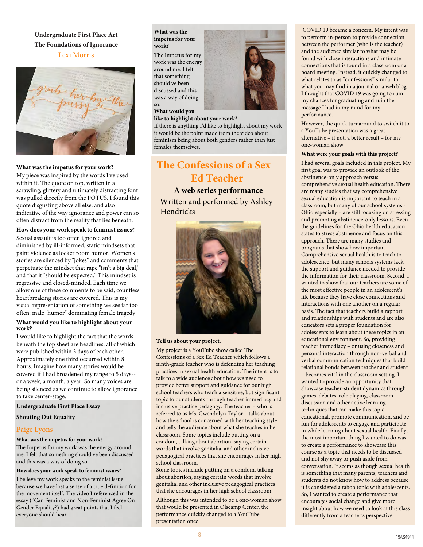### **Undergraduate First Place Art The Foundations of Ignorance**





### **What was the impetus for your work?**

My piece was inspired by the words I've used within it. The quote on top, written in a scrawling, glittery and ultimately distracting font was pulled directly from the POTUS. I found this quote disgusting above all else, and also indicative of the way ignorance and power can so often distract from the reality that lies beneath.

### **How does your work speak to feminist issues?**

Sexual assault is too often ignored and diminished by ill-informed, static mindsets that paint violence as locker room humor. Women's stories are silenced by "jokes" and comments that perpetuate the mindset that rape "isn't a big deal," and that it "should be expected." This mindset is regressive and closed-minded. Each time we allow one of these comments to be said, countless heartbreaking stories are covered. This is my visual representation of something we see far too often: male "humor" dominating female tragedy.

### **What would you like to highlight about your work?**

I would like to highlight the fact that the words beneath the top sheet are headlines, all of which were published within 3 days of each other. Approximately one third occurred within 8 hours. Imagine how many stories would be covered if I had broadened my range to 5 days- or a week, a month, a year. So many voices are being silenced as we continue to allow ignorance to take center-stage.

### **Undergraduate First Place Essay**

### **Shouting Out Equality**

### Paige Lyons

### **What was the impetus for your work?**

The Impetus for my work was the energy around me. I felt that something should've been discussed and this was a way of doing so.

### **How does your work speak to feminist issues?**

I believe my work speaks to the feminist issue because we have lost a sense of a true definition for the movement itself. The video I referenced in the essay ("Can Feminist and Non-Feminist Agree On Gender Equality?) had great points that I feel everyone should hear.

### **What was the impetus for your work?**

The Impetus for my work was the energy around me. I felt that something should've been discussed and this was a way of doing so.

### **What would you**

**like to highlight about your work?**

If there is anything I'd like to highlight about my work it would be the point made from the video about feminism being about both genders rather than just females themselves.

# **The Confessions of a Sex Ed Teacher**

**A web series performance** Written and performed by Ashley Hendricks



### **Tell us about your project.**

My project is a YouTube show called The Confessions of a Sex Ed Teacher which follows a ninth-grade teacher who is defending her teaching practices in sexual health education. The intent is to talk to a wide audience about how we need to provide better support and guidance for our high school teachers who teach a sensitive, but significant topic to our students through teacher immediacy and inclusive practice pedagogy. The teacher – who is referred to as Ms. Gwendolyn Taylor – talks about how the school is concerned with her teaching style and tells the audience about what she teaches in her classroom. Some topics include putting on a condom, talking about abortion, saying certain words that involve genitalia, and other inclusive pedagogical practices that she encourages in her high school classroom.

Some topics include putting on a condom, talking about abortion, saying certain words that involve genitalia, and other inclusive pedagogical practices that she encourages in her high school classroom.

Although this was intended to be a one-woman show that would be presented in Olscamp Center, the performance quickly changed to a YouTube presentation once

 COVID 19 became a concern. My intent was to perform in-person to provide connection between the performer (who is the teacher) and the audience similar to what may be found with close interactions and intimate connections that is found in a classroom or a board meeting. Instead, it quickly changed to what relates to as "confessions" similar to what you may find in a journal or a web blog. I thought that COVID 19 was going to ruin my chances for graduating and ruin the message I had in my mind for my performance.

However, the quick turnaround to switch it to a YouTube presentation was a great alternative – if not, a better result – for my one-woman show.

#### **What were your goals with this project?**

I had several goals included in this project. My first goal was to provide an outlook of the abstinence-only approach versus comprehensive sexual health education. There are many studies that say comprehensive sexual education is important to teach in a classroom, but many of our school systems - Ohio especially – are still focusing on stressing and promoting abstinence-only lessons. Even the guidelines for the Ohio health education states to stress abstinence and focus on this approach. There are many studies and programs that show how important Comprehensive sexual health is to teach to adolescence, but many schools systems lack the support and guidance needed to provide the information for their classroom. Second, I wanted to show that our teachers are some of the most effective people in an adolescent's life because they have close connections and interactions with one another on a regular basis. The fact that teachers build a rapport and relationships with students and are also educators sets a proper foundation for adolescents to learn about these topics in an educational environment. So, providing teacher immediacy – or using closeness and personal interaction through non-verbal and verbal communication techniques that build relational bonds between teacher and student – becomes vital in the classroom setting. I wanted to provide an opportunity that showcase teacher-student dynamics through games, debates, role playing, classroom discussion and other active learning techniques that can make this topic educational, promote communication, and be fun for adolescents to engage and participate in while learning about sexual health. Finally, the most important thing I wanted to do was to create a performance to showcase this course as a topic that needs to be discussed and not shy away or push aside from conversation. It seems as though sexual health is something that many parents, teachers and students do not know how to address because it is considered a taboo topic with adolescents. So, I wanted to create a performance that encourages social change and give more insight about how we need to look at this class differently from a teacher's perspective.